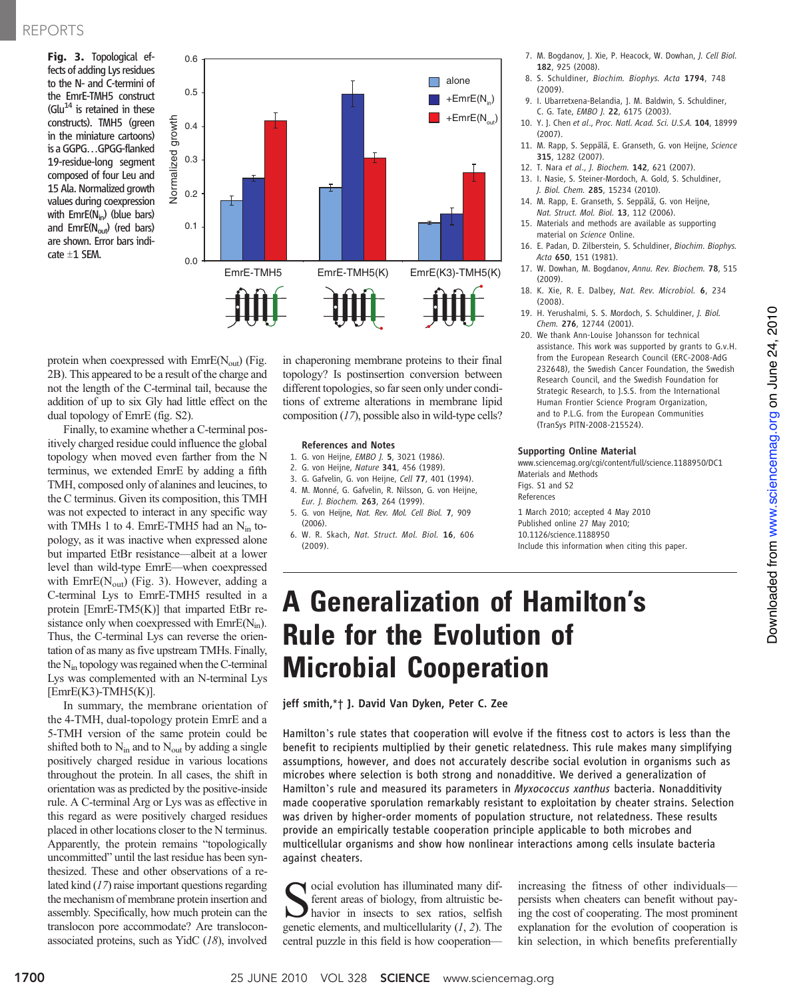Fig. 3. Topological effects of adding Lys residues to the N- and C-termini of the EmrE-TMH5 construct (Glu $^{14}$  is retained in these constructs). TMH5 (green in the miniature cartoons) is a GGPG…GPGG-flanked 19-residue-long segment composed of four Leu and 15 Ala. Normalized growth values during coexpression with  $EmrE(N_{in})$  (blue bars) and  $EmrE(N_{out})$  (red bars) are shown. Error bars indi- $\text{cate} \pm 1 \text{ SEM.}$  0.0



protein when coexpressed with  $EmE(N<sub>out</sub>)$  (Fig. 2B). This appeared to be a result of the charge and not the length of the C-terminal tail, because the addition of up to six Gly had little effect on the dual topology of EmrE (fig. S2).

Vormalized

Finally, to examine whether a C-terminal positively charged residue could influence the global topology when moved even farther from the N terminus, we extended EmrE by adding a fifth TMH, composed only of alanines and leucines, to the C terminus. Given its composition, this TMH was not expected to interact in any specific way with TMHs 1 to 4. EmrE-TMH5 had an  $N_{in}$  topology, as it was inactive when expressed alone but imparted EtBr resistance—albeit at a lower level than wild-type EmrE—when coexpressed with  $EmrE(N<sub>out</sub>)$  (Fig. 3). However, adding a C-terminal Lys to EmrE-TMH5 resulted in a protein [EmrE-TM5(K)] that imparted EtBr resistance only when coexpressed with  $EmE(N_{in})$ . Thus, the C-terminal Lys can reverse the orientation of as many as five upstream TMHs. Finally, the Nin topology was regained when the C-terminal Lys was complemented with an N-terminal Lys  $[EmrE(K3)-TMH5(K)].$ 

In summary, the membrane orientation of the 4-TMH, dual-topology protein EmrE and a 5-TMH version of the same protein could be shifted both to  $N_{in}$  and to  $N_{out}$  by adding a single positively charged residue in various locations throughout the protein. In all cases, the shift in orientation was as predicted by the positive-inside rule. A C-terminal Arg or Lys was as effective in this regard as were positively charged residues placed in other locations closer to the N terminus. Apparently, the protein remains "topologically uncommitted" until the last residue has been synthesized. These and other observations of a related kind (17) raise important questions regarding the mechanism of membrane protein insertion and assembly. Specifically, how much protein can the translocon pore accommodate? Are transloconassociated proteins, such as YidC (18), involved

in chaperoning membrane proteins to their final topology? Is postinsertion conversion between different topologies, so far seen only under conditions of extreme alterations in membrane lipid composition (17), possible also in wild-type cells?

#### References and Notes

- 1. G. von Heijne, EMBO J. 5, 3021 (1986).
- 2. G. von Heijne, Nature 341, 456 (1989).
- 3. G. Gafvelin, G. von Heijne, Cell 77, 401 (1994).
- 4. M. Monné, G. Gafvelin, R. Nilsson, G. von Heijne,
- Eur. J. Biochem. 263, 264 (1999). 5. G. von Heijne, Nat. Rev. Mol. Cell Biol. 7, 909
- $(2006)$ 6. W. R. Skach, Nat. Struct. Mol. Biol. 16, 606 (2009).
- 7. M. Bogdanov, J. Xie, P. Heacock, W. Dowhan, J. Cell Biol. 182, 925 (2008).
- 8. S. Schuldiner, Biochim. Biophys. Acta 1794, 748 (2009).
- 9. I. Ubarretxena-Belandia, J. M. Baldwin, S. Schuldiner, C. G. Tate, EMBO J. 22, 6175 (2003).
- 10. Y. J. Chen et al., Proc. Natl. Acad. Sci. U.S.A. 104, 18999 (2007).
- 11. M. Rapp, S. Seppälä, E. Granseth, G. von Heijne, Science 315, 1282 (2007).
- 12. T. Nara et al., J. Biochem. 142, 621 (2007).
- 13. I. Nasie, S. Steiner-Mordoch, A. Gold, S. Schuldiner, J. Biol. Chem. 285, 15234 (2010).
- 14. M. Rapp, E. Granseth, S. Seppälä, G. von Heijne, Nat. Struct. Mol. Biol. 13, 112 (2006).
- 15. Materials and methods are available as supporting material on Science Online.
- 16. E. Padan, D. Zilberstein, S. Schuldiner, Biochim. Biophys. Acta 650, 151 (1981).
- 17. W. Dowhan, M. Bogdanov, Annu. Rev. Biochem. 78, 515 (2009).
- 18. K. Xie, R. E. Dalbey, Nat. Rev. Microbiol. 6, 234 (2008).
- 19. H. Yerushalmi, S. S. Mordoch, S. Schuldiner, J. Biol. Chem. 276, 12744 (2001).
- 20. We thank Ann-Louise Johansson for technical assistance. This work was supported by grants to G.v.H. from the European Research Council (ERC-2008-AdG 232648), the Swedish Cancer Foundation, the Swedish Research Council, and the Swedish Foundation for Strategic Research, to J.S.S. from the International Human Frontier Science Program Organization, and to P.L.G. from the European Communities (TranSys PITN-2008-215524).

### Supporting Online Material

www.sciencemag.org/cgi/content/full/science.1188950/DC1 Materials and Methods Figs. S1 and S2 References

1 March 2010; accepted 4 May 2010 Published online 27 May 2010; 10.1126/science.1188950 Include this information when citing this paper.

# A Generalization of Hamilton's Rule for the Evolution of Microbial Cooperation

jeff smith,\*† J. David Van Dyken, Peter C. Zee

Hamilton's rule states that cooperation will evolve if the fitness cost to actors is less than the benefit to recipients multiplied by their genetic relatedness. This rule makes many simplifying assumptions, however, and does not accurately describe social evolution in organisms such as microbes where selection is both strong and nonadditive. We derived a generalization of Hamilton's rule and measured its parameters in Myxococcus xanthus bacteria. Nonadditivity made cooperative sporulation remarkably resistant to exploitation by cheater strains. Selection was driven by higher-order moments of population structure, not relatedness. These results provide an empirically testable cooperation principle applicable to both microbes and multicellular organisms and show how nonlinear interactions among cells insulate bacteria against cheaters.

social evolution has illuminated many different areas of biology, from altruistic behavior in insects to sex ratios, selfish genetic elements, and multicellularity  $(1, 2)$ . The central puzzle in this field is how cooperation—

increasing the fitness of other individuals persists when cheaters can benefit without paying the cost of cooperating. The most prominent explanation for the evolution of cooperation is kin selection, in which benefits preferentially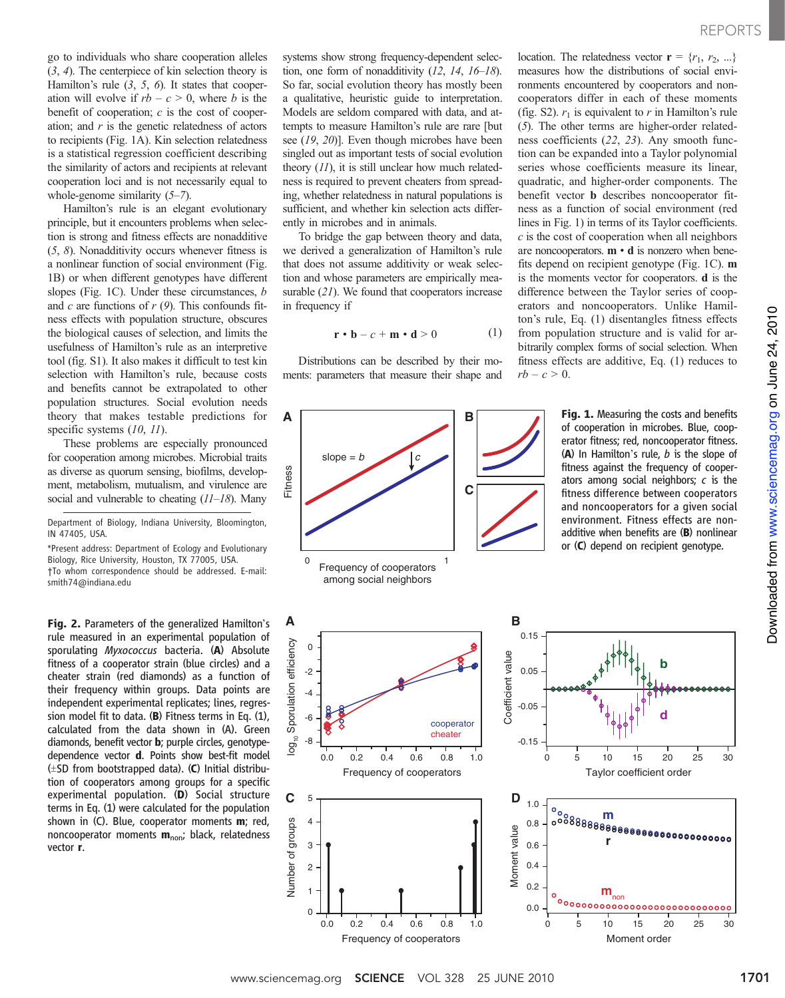go to individuals who share cooperation alleles (3, 4). The centerpiece of kin selection theory is Hamilton's rule  $(3, 5, 6)$ . It states that cooperation will evolve if  $rb - c > 0$ , where b is the benefit of cooperation;  $c$  is the cost of cooperation; and  $r$  is the genetic relatedness of actors to recipients (Fig. 1A). Kin selection relatedness is a statistical regression coefficient describing the similarity of actors and recipients at relevant cooperation loci and is not necessarily equal to whole-genome similarity  $(5-7)$ .

Hamilton's rule is an elegant evolutionary principle, but it encounters problems when selection is strong and fitness effects are nonadditive (5, 8). Nonadditivity occurs whenever fitness is a nonlinear function of social environment (Fig. 1B) or when different genotypes have different slopes (Fig. 1C). Under these circumstances, b and c are functions of  $r(9)$ . This confounds fitness effects with population structure, obscures the biological causes of selection, and limits the usefulness of Hamilton's rule as an interpretive tool (fig. S1). It also makes it difficult to test kin selection with Hamilton's rule, because costs and benefits cannot be extrapolated to other population structures. Social evolution needs theory that makes testable predictions for specific systems  $(10, 11)$ .

These problems are especially pronounced for cooperation among microbes. Microbial traits as diverse as quorum sensing, biofilms, development, metabolism, mutualism, and virulence are social and vulnerable to cheating  $(11-18)$ . Many

Department of Biology, Indiana University, Bloomington, IN 47405, USA.

\*Present address: Department of Ecology and Evolutionary Biology, Rice University, Houston, TX 77005, USA. †To whom correspondence should be addressed. E-mail: smith74@indiana.edu

Fig. 2. Parameters of the generalized Hamilton's rule measured in an experimental population of sporulating Myxococcus bacteria. (A) Absolute fitness of a cooperator strain (blue circles) and a cheater strain (red diamonds) as a function of their frequency within groups. Data points are independent experimental replicates; lines, regression model fit to data. (B) Fitness terms in Eq. (1), calculated from the data shown in (A). Green diamonds, benefit vector b; purple circles, genotypedependence vector d. Points show best-fit model  $(\pm$ SD from bootstrapped data). (C) Initial distribution of cooperators among groups for a specific experimental population. (D) Social structure terms in Eq. (1) were calculated for the population shown in (C). Blue, cooperator moments m; red, noncooperator moments  $m_{non}$ ; black, relatedness vector r.

systems show strong frequency-dependent selection, one form of nonadditivity  $(12, 14, 16-18)$ . So far, social evolution theory has mostly been a qualitative, heuristic guide to interpretation. Models are seldom compared with data, and attempts to measure Hamilton's rule are rare [but see (19, 20)]. Even though microbes have been singled out as important tests of social evolution theory  $(11)$ , it is still unclear how much relatedness is required to prevent cheaters from spreading, whether relatedness in natural populations is sufficient, and whether kin selection acts differently in microbes and in animals.

To bridge the gap between theory and data, we derived a generalization of Hamilton's rule that does not assume additivity or weak selection and whose parameters are empirically measurable (21). We found that cooperators increase in frequency if

$$
\mathbf{r} \cdot \mathbf{b} - c + \mathbf{m} \cdot \mathbf{d} > 0 \tag{1}
$$

Distributions can be described by their moments: parameters that measure their shape and





location. The relatedness vector  $\mathbf{r} = \{r_1, r_2, ...\}$ measures how the distributions of social environments encountered by cooperators and noncooperators differ in each of these moments (fig. S2).  $r_1$  is equivalent to r in Hamilton's rule (5). The other terms are higher-order relatedness coefficients (22, 23). Any smooth function can be expanded into a Taylor polynomial series whose coefficients measure its linear, quadratic, and higher-order components. The benefit vector b describes noncooperator fitness as a function of social environment (red lines in Fig. 1) in terms of its Taylor coefficients.  $c$  is the cost of cooperation when all neighbors are noncooperators.  $\mathbf{m} \cdot \mathbf{d}$  is nonzero when benefits depend on recipient genotype (Fig. 1C). m is the moments vector for cooperators. d is the difference between the Taylor series of cooperators and noncooperators. Unlike Hamilton's rule, Eq. (1) disentangles fitness effects from population structure and is valid for arbitrarily complex forms of social selection. When fitness effects are additive, Eq. (1) reduces to  $rb - c > 0$ .

> Fig. 1. Measuring the costs and benefits of cooperation in microbes. Blue, cooperator fitness; red, noncooperator fitness.  $(A)$  In Hamilton's rule, *b* is the slope of fitness against the frequency of cooperators among social neighbors; c is the fitness difference between cooperators and noncooperators for a given social environment. Fitness effects are nonadditive when benefits are (B) nonlinear or (C) depend on recipient genotype.



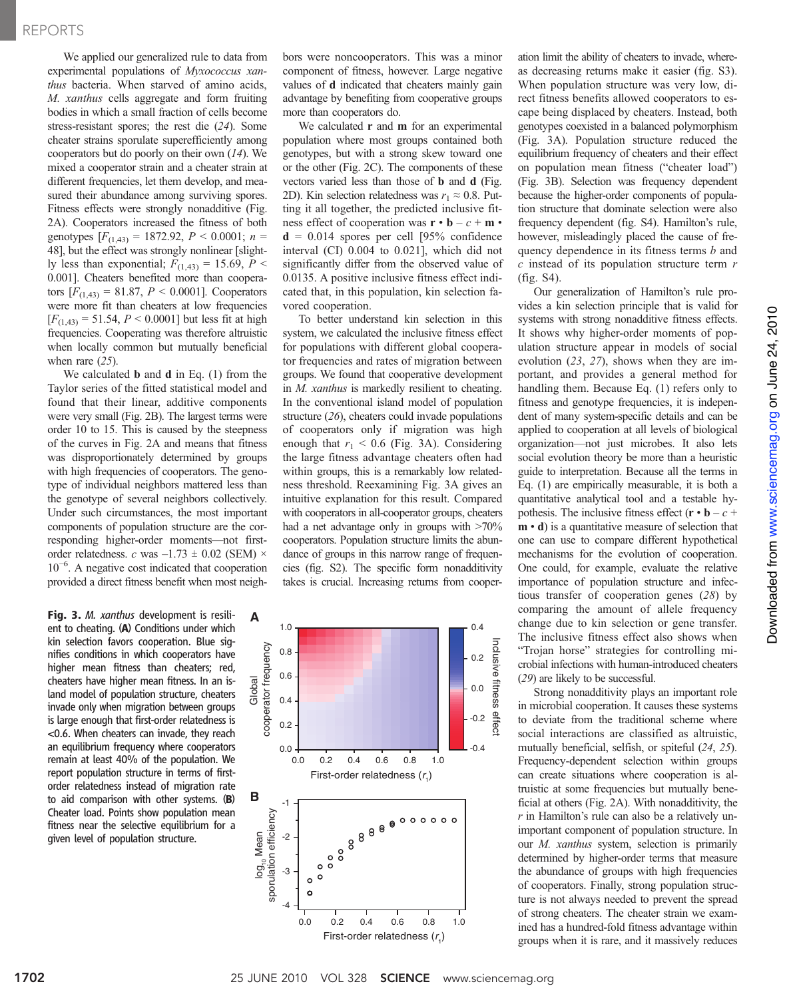We applied our generalized rule to data from experimental populations of Myxococcus xanthus bacteria. When starved of amino acids, M. xanthus cells aggregate and form fruiting bodies in which a small fraction of cells become stress-resistant spores; the rest die (24). Some cheater strains sporulate superefficiently among cooperators but do poorly on their own (14). We mixed a cooperator strain and a cheater strain at different frequencies, let them develop, and measured their abundance among surviving spores. Fitness effects were strongly nonadditive (Fig. 2A). Cooperators increased the fitness of both genotypes  $[F_{(1,43)} = 1872.92, P \le 0.0001; n =$ 48], but the effect was strongly nonlinear [slightly less than exponential;  $F_{(1,43)} = 15.69$ ,  $P <$ 0.001]. Cheaters benefited more than cooperators  $[F_{(1,43)} = 81.87, P \le 0.0001]$ . Cooperators were more fit than cheaters at low frequencies  $[F_{(1,43)} = 51.54, P \le 0.0001]$  but less fit at high frequencies. Cooperating was therefore altruistic when locally common but mutually beneficial when rare  $(25)$ .

We calculated **b** and **d** in Eq. (1) from the Taylor series of the fitted statistical model and found that their linear, additive components were very small (Fig. 2B). The largest terms were order 10 to 15. This is caused by the steepness of the curves in Fig. 2A and means that fitness was disproportionately determined by groups with high frequencies of cooperators. The genotype of individual neighbors mattered less than the genotype of several neighbors collectively. Under such circumstances, the most important components of population structure are the corresponding higher-order moments—not firstorder relatedness. c was  $-1.73 \pm 0.02$  (SEM)  $\times$ 10−<sup>6</sup> . A negative cost indicated that cooperation provided a direct fitness benefit when most neigh-

Fig. 3. M. xanthus development is resilient to cheating. (A) Conditions under which kin selection favors cooperation. Blue signifies conditions in which cooperators have higher mean fitness than cheaters; red, cheaters have higher mean fitness. In an island model of population structure, cheaters invade only when migration between groups is large enough that first-order relatedness is <0.6. When cheaters can invade, they reach an equilibrium frequency where cooperators remain at least 40% of the population. We report population structure in terms of firstorder relatedness instead of migration rate to aid comparison with other systems. (B) Cheater load. Points show population mean fitness near the selective equilibrium for a given level of population structure.

bors were noncooperators. This was a minor component of fitness, however. Large negative values of d indicated that cheaters mainly gain advantage by benefiting from cooperative groups more than cooperators do.

We calculated **r** and **m** for an experimental population where most groups contained both genotypes, but with a strong skew toward one or the other (Fig. 2C). The components of these vectors varied less than those of b and d (Fig. 2D). Kin selection relatedness was  $r_1 \approx 0.8$ . Putting it all together, the predicted inclusive fitness effect of cooperation was  $\mathbf{r} \cdot \mathbf{b} - c + \mathbf{m} \cdot$  $d = 0.014$  spores per cell [95% confidence interval (CI) 0.004 to 0.021], which did not significantly differ from the observed value of 0.0135. A positive inclusive fitness effect indicated that, in this population, kin selection favored cooperation.

To better understand kin selection in this system, we calculated the inclusive fitness effect for populations with different global cooperator frequencies and rates of migration between groups. We found that cooperative development in M. xanthus is markedly resilient to cheating. In the conventional island model of population structure (26), cheaters could invade populations of cooperators only if migration was high enough that  $r_1$  < 0.6 (Fig. 3A). Considering the large fitness advantage cheaters often had within groups, this is a remarkably low relatedness threshold. Reexamining Fig. 3A gives an intuitive explanation for this result. Compared with cooperators in all-cooperator groups, cheaters had a net advantage only in groups with >70% cooperators. Population structure limits the abundance of groups in this narrow range of frequencies (fig. S2). The specific form nonadditivity takes is crucial. Increasing returns from cooper-



ation limit the ability of cheaters to invade, whereas decreasing returns make it easier (fig. S3). When population structure was very low, direct fitness benefits allowed cooperators to escape being displaced by cheaters. Instead, both genotypes coexisted in a balanced polymorphism (Fig. 3A). Population structure reduced the equilibrium frequency of cheaters and their effect on population mean fitness ("cheater load") (Fig. 3B). Selection was frequency dependent because the higher-order components of population structure that dominate selection were also frequency dependent (fig. S4). Hamilton's rule, however, misleadingly placed the cause of frequency dependence in its fitness terms b and  $c$  instead of its population structure term  $r$ (fig. S4).

Our generalization of Hamilton's rule provides a kin selection principle that is valid for systems with strong nonadditive fitness effects. It shows why higher-order moments of population structure appear in models of social evolution (23, 27), shows when they are important, and provides a general method for handling them. Because Eq. (1) refers only to fitness and genotype frequencies, it is independent of many system-specific details and can be applied to cooperation at all levels of biological organization—not just microbes. It also lets social evolution theory be more than a heuristic guide to interpretation. Because all the terms in Eq. (1) are empirically measurable, it is both a quantitative analytical tool and a testable hypothesis. The inclusive fitness effect  $(\mathbf{r} \cdot \mathbf{b} - c +$ m • d) is a quantitative measure of selection that one can use to compare different hypothetical mechanisms for the evolution of cooperation. One could, for example, evaluate the relative importance of population structure and infectious transfer of cooperation genes (28) by comparing the amount of allele frequency change due to kin selection or gene transfer. The inclusive fitness effect also shows when "Trojan horse" strategies for controlling microbial infections with human-introduced cheaters (29) are likely to be successful.

Strong nonadditivity plays an important role in microbial cooperation. It causes these systems to deviate from the traditional scheme where social interactions are classified as altruistic, mutually beneficial, selfish, or spiteful (24, 25). Frequency-dependent selection within groups can create situations where cooperation is altruistic at some frequencies but mutually beneficial at others (Fig. 2A). With nonadditivity, the  $r$  in Hamilton's rule can also be a relatively unimportant component of population structure. In our M. xanthus system, selection is primarily determined by higher-order terms that measure the abundance of groups with high frequencies of cooperators. Finally, strong population structure is not always needed to prevent the spread of strong cheaters. The cheater strain we examined has a hundred-fold fitness advantage within groups when it is rare, and it massively reduces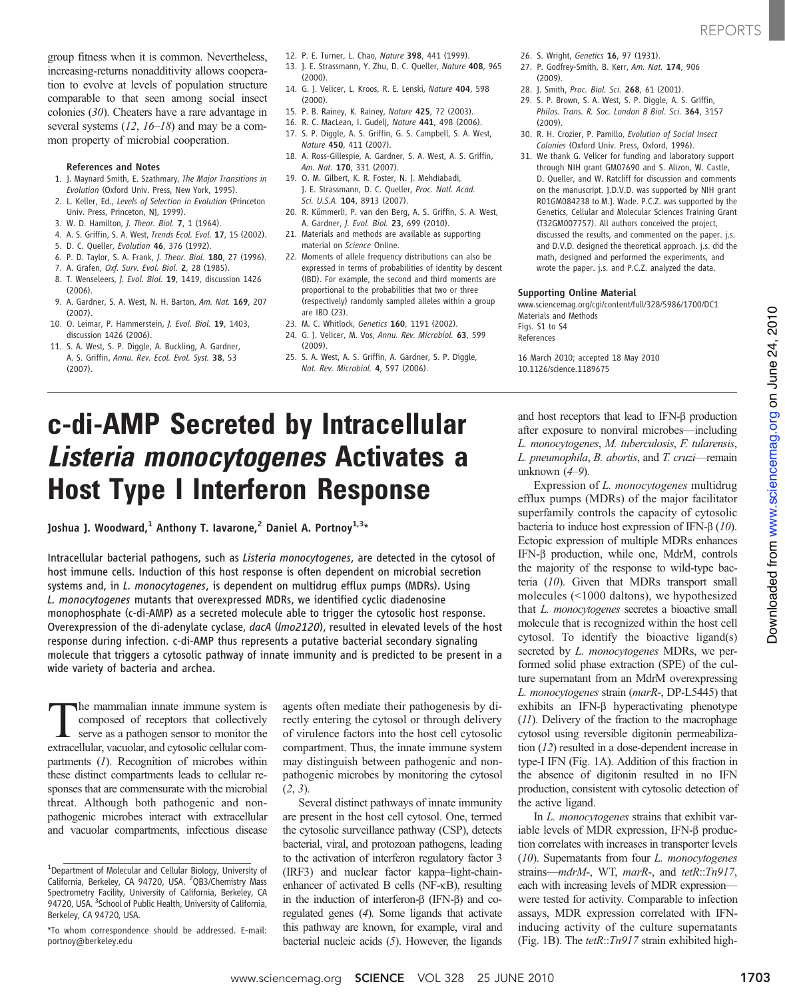group fitness when it is common. Nevertheless, increasing-returns nonadditivity allows cooperation to evolve at levels of population structure comparable to that seen among social insect colonies (30). Cheaters have a rare advantage in several systems  $(12, 16-18)$  and may be a common property of microbial cooperation.

### References and Notes

- 1. J. Maynard Smith, E. Szathmary, The Major Transitions in Evolution (Oxford Univ. Press, New York, 1995).
- 2. L. Keller, Ed., Levels of Selection in Evolution (Princeton Univ. Press, Princeton, NJ, 1999).
- 3. W. D. Hamilton, J. Theor. Biol. 7, 1 (1964).
- 4. A. S. Griffin, S. A. West, Trends Ecol. Evol. 17, 15 (2002).
- 5. D. C. Queller, Evolution 46, 376 (1992).
- 6. P. D. Taylor, S. A. Frank, J. Theor. Biol. 180, 27 (1996).
- 7. A. Grafen, Oxf. Surv. Evol. Biol. 2, 28 (1985).
- 8. T. Wenseleers, J. Evol. Biol. 19, 1419, discussion 1426 (2006).
- 9. A. Gardner, S. A. West, N. H. Barton, Am. Nat. 169, 207 (2007).
- 10. O. Leimar, P. Hammerstein, J. Evol. Biol. 19, 1403, discussion 1426 (2006).
- 11. S. A. West, S. P. Diggle, A. Buckling, A. Gardner, A. S. Griffin, Annu. Rev. Ecol. Evol. Syst. 38, 53 (2007).
- 12. P. E. Turner, L. Chao, Nature 398, 441 (1999).
- 13. J. E. Strassmann, Y. Zhu, D. C. Queller, Nature 408, 965 (2000).
- 14. G. J. Velicer, L. Kroos, R. E. Lenski, Nature 404, 598 (2000).
- 15. P. B. Rainey, K. Rainey, Nature 425, 72 (2003).
- 16. R. C. MacLean, I. Gudelj, Nature 441, 498 (2006).
- 17. S. P. Diggle, A. S. Griffin, G. S. Campbell, S. A. West, Nature 450, 411 (2007).
- 18. A. Ross-Gillespie, A. Gardner, S. A. West, A. S. Griffin, Am. Nat. 170, 331 (2007).
- 19. O. M. Gilbert, K. R. Foster, N. J. Mehdiabadi, J. E. Strassmann, D. C. Queller, Proc. Natl. Acad. Sci. U.S.A. 104, 8913 (2007).
- 20. R. Kümmerli, P. van den Berg, A. S. Griffin, S. A. West, A. Gardner, J. Evol. Biol. 23, 699 (2010).
- 21. Materials and methods are available as supporting material on Science Online.
- 22. Moments of allele frequency distributions can also be expressed in terms of probabilities of identity by descent (IBD). For example, the second and third moments are proportional to the probabilities that two or three (respectively) randomly sampled alleles within a group are IBD (23).
- 23. M. C. Whitlock, Genetics 160, 1191 (2002).
- 24. G. J. Velicer, M. Vos, Annu. Rev. Microbiol. 63, 599 (2009).
- 25. S. A. West, A. S. Griffin, A. Gardner, S. P. Diggle, Nat. Rev. Microbiol. 4, 597 (2006).

# c-di-AMP Secreted by Intracellular Listeria monocytogenes Activates a Host Type I Interferon Response

Joshua J. Woodward,<sup>1</sup> Anthony T. Iavarone,<sup>2</sup> Daniel A. Portnoy<sup>1,3\*</sup>

Intracellular bacterial pathogens, such as Listeria monocytogenes, are detected in the cytosol of host immune cells. Induction of this host response is often dependent on microbial secretion systems and, in L. monocytogenes, is dependent on multidrug efflux pumps (MDRs). Using L. monocytogenes mutants that overexpressed MDRs, we identified cyclic diadenosine monophosphate (c-di-AMP) as a secreted molecule able to trigger the cytosolic host response. Overexpression of the di-adenylate cyclase, dacA (lmo2120), resulted in elevated levels of the host response during infection. c-di-AMP thus represents a putative bacterial secondary signaling molecule that triggers a cytosolic pathway of innate immunity and is predicted to be present in a wide variety of bacteria and archea.

the mammalian innate immune system is composed of receptors that collectively serve as a pathogen sensor to monitor the extracellular, vacuolar, and cytosolic cellular compartments (1). Recognition of microbes within these distinct compartments leads to cellular responses that are commensurate with the microbial threat. Although both pathogenic and nonpathogenic microbes interact with extracellular and vacuolar compartments, infectious disease agents often mediate their pathogenesis by directly entering the cytosol or through delivery of virulence factors into the host cell cytosolic compartment. Thus, the innate immune system may distinguish between pathogenic and nonpathogenic microbes by monitoring the cytosol (2, 3).

Several distinct pathways of innate immunity are present in the host cell cytosol. One, termed the cytosolic surveillance pathway (CSP), detects bacterial, viral, and protozoan pathogens, leading to the activation of interferon regulatory factor 3 (IRF3) and nuclear factor kappa–light-chainenhancer of activated B cells (NF-kB), resulting in the induction of interferon- $\beta$  (IFN- $\beta$ ) and coregulated genes (4). Some ligands that activate this pathway are known, for example, viral and bacterial nucleic acids (5). However, the ligands

- 26. S. Wright, Genetics 16, 97 (1931).
- 27. P. Godfrey-Smith, B. Kerr, Am. Nat. 174, 906 (2009).
- 28. J. Smith, Proc. Biol. Sci. 268, 61 (2001).
- 29. S. P. Brown, S. A. West, S. P. Diggle, A. S. Griffin, Philos. Trans. R. Soc. London B Biol. Sci. 364, 3157 (2009).
- 30. R. H. Crozier, P. Pamillo, Evolution of Social Insect Colonies (Oxford Univ. Press, Oxford, 1996).
- 31. We thank G. Velicer for funding and laboratory support through NIH grant GM07690 and S. Alizon, W. Castle, D. Queller, and W. Ratcliff for discussion and comments on the manuscript. J.D.V.D. was supported by NIH grant R01GM084238 to M.J. Wade. P.C.Z. was supported by the Genetics, Cellular and Molecular Sciences Training Grant (T32GM007757). All authors conceived the project, discussed the results, and commented on the paper. j.s. and D.V.D. designed the theoretical approach. j.s. did the math, designed and performed the experiments, and wrote the paper. j.s. and P.C.Z. analyzed the data.

### Supporting Online Material

www.sciencemag.org/cgi/content/full/328/5986/1700/DC1 Materials and Methods Figs. S1 to S4 References

16 March 2010; accepted 18 May 2010 10.1126/science.1189675

and host receptors that lead to IFN- $\beta$  production after exposure to nonviral microbes—including L. monocytogenes, M. tuberculosis, F. tularensis, L. pneumophila, B. abortis, and T. cruzi—remain unknown (4–9).

Expression of L. monocytogenes multidrug efflux pumps (MDRs) of the major facilitator superfamily controls the capacity of cytosolic bacteria to induce host expression of IFN- $\beta$  (10). Ectopic expression of multiple MDRs enhances IFN- $\beta$  production, while one, MdrM, controls the majority of the response to wild-type bacteria (10). Given that MDRs transport small molecules (<1000 daltons), we hypothesized that L. monocytogenes secretes a bioactive small molecule that is recognized within the host cell cytosol. To identify the bioactive ligand(s) secreted by *L. monocytogenes* MDRs, we performed solid phase extraction (SPE) of the culture supernatant from an MdrM overexpressing L. monocytogenes strain (marR-, DP-L5445) that exhibits an IFN- $\beta$  hyperactivating phenotype (11). Delivery of the fraction to the macrophage cytosol using reversible digitonin permeabilization (12) resulted in a dose-dependent increase in type-I IFN (Fig. 1A). Addition of this fraction in the absence of digitonin resulted in no IFN production, consistent with cytosolic detection of the active ligand.

In L. *monocytogenes* strains that exhibit variable levels of MDR expression, IFN- $\beta$  production correlates with increases in transporter levels (10). Supernatants from four L. monocytogenes strains—mdrM-, WT, marR-, and tetR::Tn917, each with increasing levels of MDR expression were tested for activity. Comparable to infection assays, MDR expression correlated with IFNinducing activity of the culture supernatants (Fig. 1B). The  $tetR::Tn917$  strain exhibited high-

<sup>&</sup>lt;sup>1</sup>Department of Molecular and Cellular Biology, University of California, Berkeley, CA 94720, USA. <sup>2</sup>QB3/Chemistry Mass Spectrometry Facility, University of California, Berkeley, CA 94720, USA. <sup>3</sup>School of Public Health, University of California, Berkeley, CA 94720, USA.

<sup>\*</sup>To whom correspondence should be addressed. E-mail: portnoy@berkeley.edu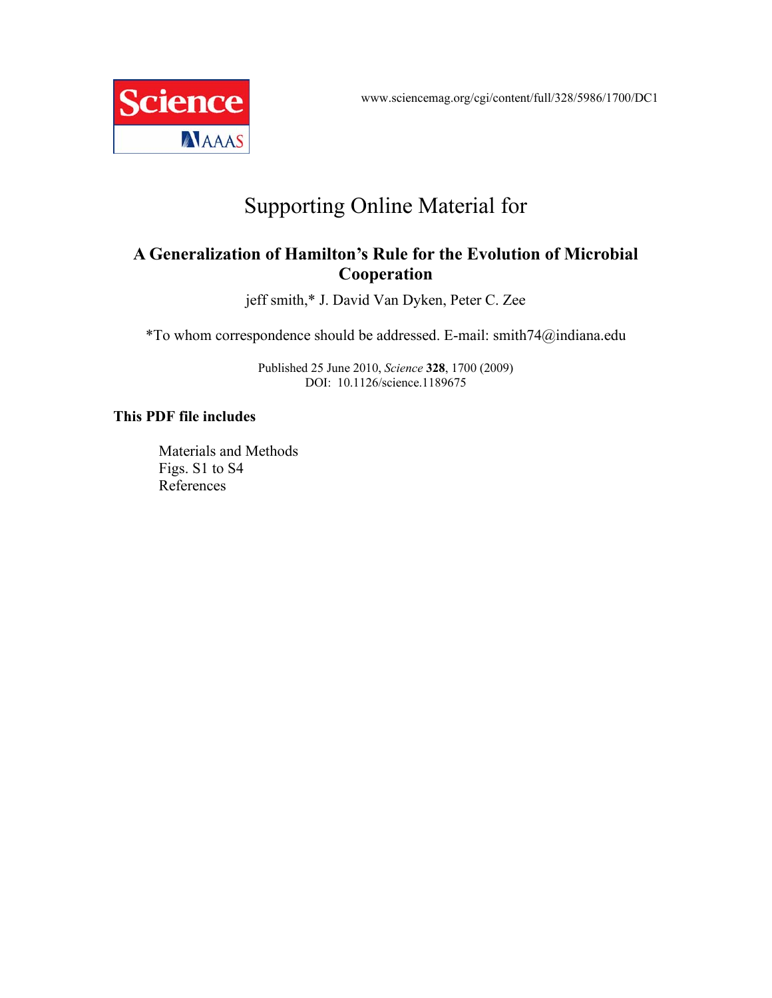www.sciencemag.org/cgi/content/full/328/5986/1700/DC1



## Supporting Online Material for

## **A Generalization of Hamilton's Rule for the Evolution of Microbial Cooperation**

jeff smith,\* J. David Van Dyken, Peter C. Zee

\*To whom correspondence should be addressed. E-mail: smith74@indiana.edu

Published 25 June 2010, *Science* **328**, 1700 (2009) DOI: 10.1126/science.1189675

## **This PDF file includes**

Materials and Methods Figs. S1 to S4 References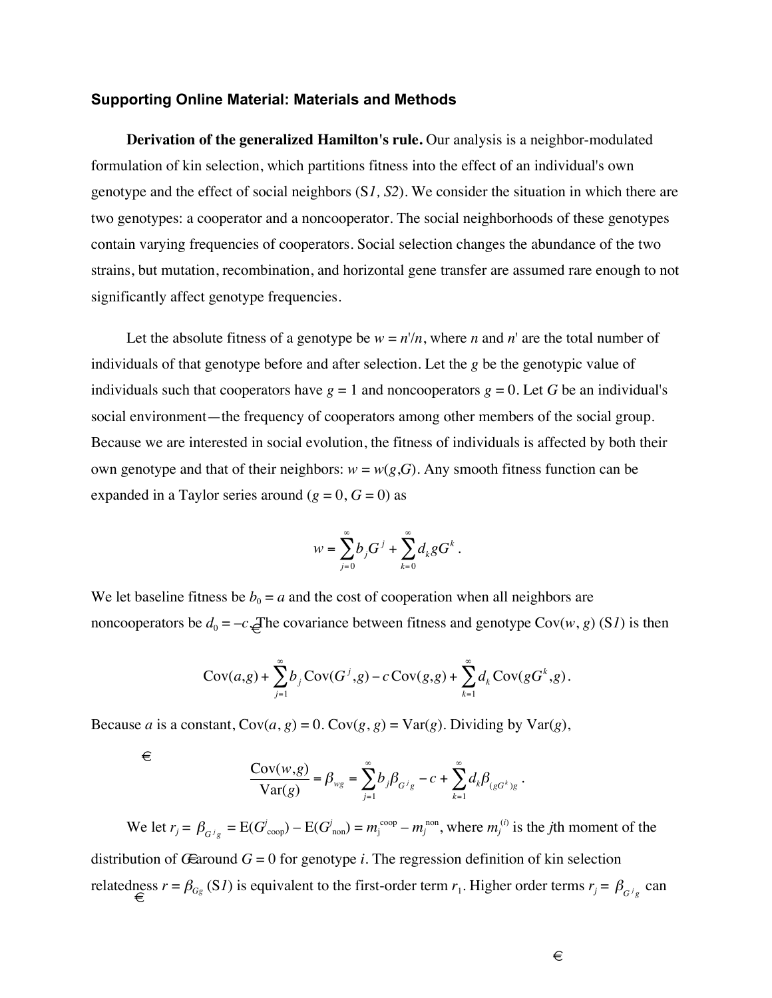### **Supporting Online Material: Materials and Methods**

**Derivation of the generalized Hamilton's rule.** Our analysis is a neighbor-modulated formulation of kin selection, which partitions fitness into the effect of an individual's own genotype and the effect of social neighbors (S*1, S2*). We consider the situation in which there are two genotypes: a cooperator and a noncooperator. The social neighborhoods of these genotypes contain varying frequencies of cooperators. Social selection changes the abundance of the two strains, but mutation, recombination, and horizontal gene transfer are assumed rare enough to not significantly affect genotype frequencies.

Let the absolute fitness of a genotype be  $w = n'/n$ , where *n* and *n*' are the total number of individuals of that genotype before and after selection. Let the *g* be the genotypic value of individuals such that cooperators have  $g = 1$  and noncooperators  $g = 0$ . Let G be an individual's social environment—the frequency of cooperators among other members of the social group. Because we are interested in social evolution, the fitness of individuals is affected by both their own genotype and that of their neighbors:  $w = w(g, G)$ . Any smooth fitness function can be expanded in a Taylor series around  $(g = 0, G = 0)$  as

$$
w = \sum_{j=0}^{\infty} b_j G^j + \sum_{k=0}^{\infty} d_k g G^k.
$$

noncooperators be  $d_0 = -c$ . The covariance between fitness and genotype Cov(*w*, *g*) (S*1*) is then We let baseline fitness be  $b_0 = a$  and the cost of cooperation when all neighbors are

$$
Cov(a,g) + \sum_{j=1}^{\infty} b_j Cov(G^j,g) - c Cov(g,g) + \sum_{k=1}^{\infty} d_k Cov(gG^k,g).
$$

Because *a* is a constant,  $Cov(a, g) = 0$ .  $Cov(g, g) = Var(g)$ . Dividing by  $Var(g)$ ,

 $\in$ 

$$
\frac{\mathrm{Cov}(w,g)}{\mathrm{Var}(g)} = \beta_{wg} = \sum_{j=1}^\infty b_j \beta_{G^j g} - c + \sum_{k=1}^\infty d_k \beta_{(gG^k)g}.
$$

distribution of *G* around  $G = 0$  for genotype *i*. The regression definition of kin selection We let  $r_j = \beta_{G^j g} = E(G^j_{\text{coop}}) - E(G^j_{\text{non}}) = m_j^{\text{coop}} - m_j^{\text{non}}$ , where  $m_j^{(i)}$  is the *j*th moment of the

 $\in$ relatedness  $r = \beta_{Gg} (SI)$  is equivalent to the first-order term  $r_1$ . Higher order terms  $r_j = \beta_{G^j g}$  can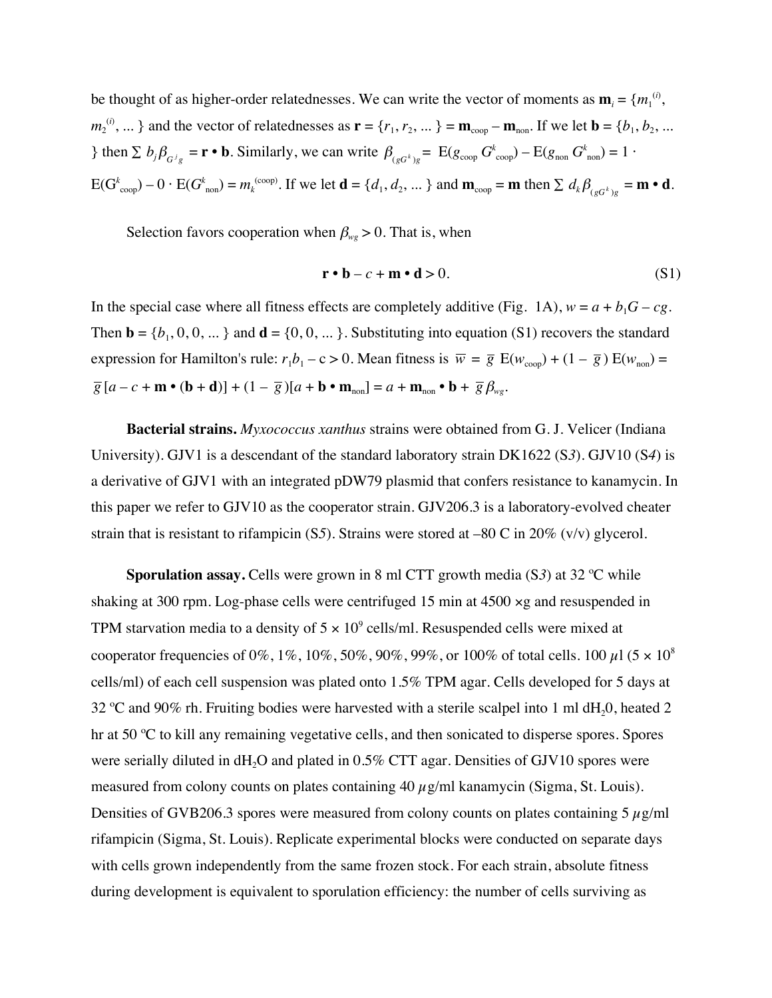be thought of as higher-order relatednesses. We can write the vector of moments as  $\mathbf{m}_i = \{m_1^{(i)},$  $m_2^{(i)}$ , ... } and the vector of relatednesses as  $\mathbf{r} = \{r_1, r_2, \dots\} = \mathbf{m}_{\text{coop}} - \mathbf{m}_{\text{non}}$ . If we let  $\mathbf{b} = \{b_1, b_2, \dots\}$ } then  $\sum b_j \beta_{G^j g} = \mathbf{r} \cdot \mathbf{b}$ . Similarly, we can write  $\beta_{(gG^k)g} = \text{E}(g_{\text{coop}} G^k_{\text{coop}}) - \text{E}(g_{\text{non}} G^k_{\text{non}}) = 1$ .  $E(G_{\text{coop}}^{k}) - 0 \cdot E(G_{\text{non}}^{k}) = m_{k}^{(\text{coop})}$ . If we let  $\mathbf{d} = \{d_{1}, d_{2}, ... \}$  and  $\mathbf{m}_{\text{coop}} = \mathbf{m} \text{ then } \sum d_{k} \beta_{(gG^{k})g} = \mathbf{m} \cdot \mathbf{d}$ .

Selection favors cooperation when  $\beta_{wg} > 0$ . That is, when

$$
\mathbf{r} \cdot \mathbf{b} - c + \mathbf{m} \cdot \mathbf{d} > 0. \tag{S1}
$$

In the special case where all fitness effects are completely additive (Fig. 1A),  $w = a + b_1G - cg$ . Then  $\mathbf{b} = \{b_1, 0, 0, \dots\}$  and  $\mathbf{d} = \{0, 0, \dots\}$ . Substituting into equation (S1) recovers the standard expression for Hamilton's rule:  $r_1b_1 - c > 0$ . Mean fitness is  $\overline{w} = \overline{g} E(w_{\text{coop}}) + (1 - \overline{g}) E(w_{\text{non}}) =$  $g[a-c+m \bullet (\mathbf{b}+\mathbf{d})] + (1-\overline{g})[a+\mathbf{b} \bullet \mathbf{m}_{\text{non}}] = a+\mathbf{m}_{\text{non}} \bullet \mathbf{b} + \overline{g} \beta_{\text{wg}}.$ 

! ! ! **Bacterial strains.** *Myxococcus xanthus* strains were obtained from G. J. Velicer (Indiana ! ! University). GJV1 is a descendant of the standard laboratory strain DK1622 (S*3*). GJV10 (S*4*) is a derivative of GJV1 with an integrated pDW79 plasmid that confers resistance to kanamycin. In this paper we refer to GJV10 as the cooperator strain. GJV206.3 is a laboratory-evolved cheater strain that is resistant to rifampicin (S*5*). Strains were stored at –80 C in 20% (v/v) glycerol.

**Sporulation assay.** Cells were grown in 8 ml CTT growth media (S*3*) at 32 ºC while shaking at 300 rpm. Log-phase cells were centrifuged 15 min at  $4500 \times g$  and resuspended in TPM starvation media to a density of  $5 \times 10^9$  cells/ml. Resuspended cells were mixed at cooperator frequencies of 0%, 1%, 10%, 50%, 90%, 99%, or 100% of total cells. 100  $\mu$ 1 (5  $\times$  10<sup>8</sup>) cells/ml) of each cell suspension was plated onto 1.5% TPM agar. Cells developed for 5 days at 32 °C and 90% rh. Fruiting bodies were harvested with a sterile scalpel into 1 ml dH $_2$ 0, heated 2 hr at 50 ºC to kill any remaining vegetative cells, and then sonicated to disperse spores. Spores were serially diluted in  $dH_2O$  and plated in 0.5% CTT agar. Densities of GJV10 spores were measured from colony counts on plates containing  $40 \mu g/ml$  kanamycin (Sigma, St. Louis). Densities of GVB206.3 spores were measured from colony counts on plates containing 5  $\mu$ g/ml rifampicin (Sigma, St. Louis). Replicate experimental blocks were conducted on separate days with cells grown independently from the same frozen stock. For each strain, absolute fitness during development is equivalent to sporulation efficiency: the number of cells surviving as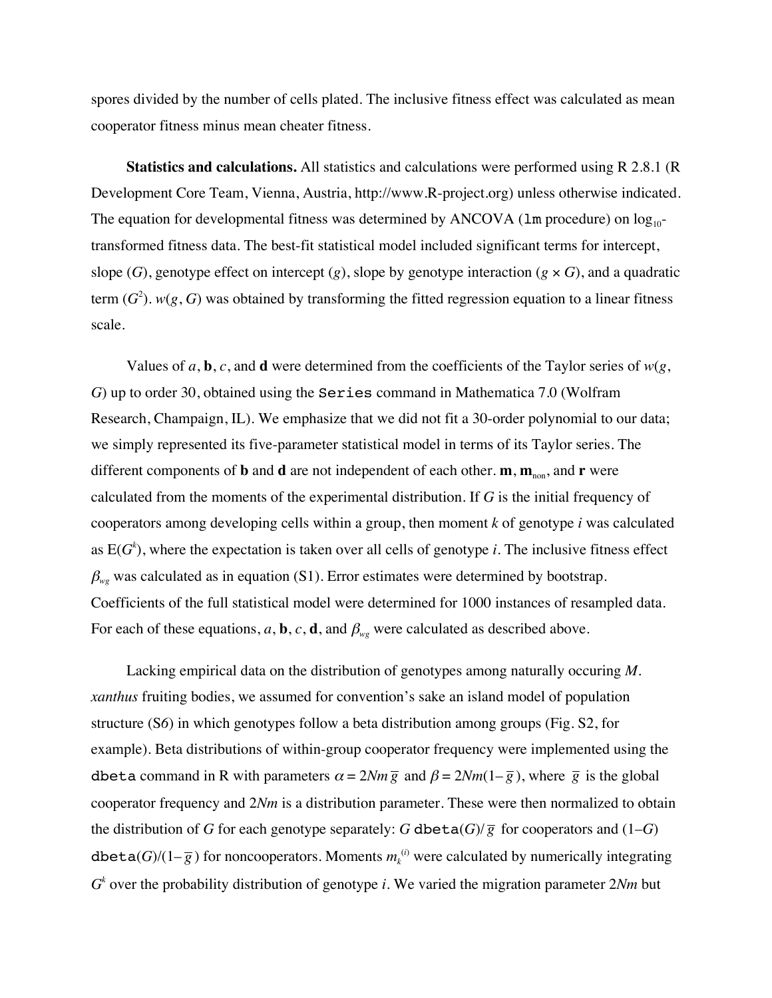spores divided by the number of cells plated. The inclusive fitness effect was calculated as mean cooperator fitness minus mean cheater fitness.

**Statistics and calculations.** All statistics and calculations were performed using R 2.8.1 (R Development Core Team, Vienna, Austria, http://www.R-project.org) unless otherwise indicated. The equation for developmental fitness was determined by ANCOVA ( $lm$  procedure) on  $log_{10}$ transformed fitness data. The best-fit statistical model included significant terms for intercept, slope (*G*), genotype effect on intercept (*g*), slope by genotype interaction ( $g \times G$ ), and a quadratic term  $(G^2)$ .  $w(g, G)$  was obtained by transforming the fitted regression equation to a linear fitness scale.

Values of  $a$ ,  $b$ ,  $c$ , and  $d$  were determined from the coefficients of the Taylor series of  $w(g)$ , *G*) up to order 30, obtained using the Series command in Mathematica 7.0 (Wolfram Research, Champaign, IL). We emphasize that we did not fit a 30-order polynomial to our data; we simply represented its five-parameter statistical model in terms of its Taylor series. The different components of **b** and **d** are not independent of each other.  $\mathbf{m}$ ,  $\mathbf{m}_{\text{non}}$ , and  $\mathbf{r}$  were calculated from the moments of the experimental distribution. If *G* is the initial frequency of cooperators among developing cells within a group, then moment *k* of genotype *i* was calculated as  $E(G<sup>k</sup>)$ , where the expectation is taken over all cells of genotype *i*. The inclusive fitness effect  $\beta_{we}$  was calculated as in equation (S1). Error estimates were determined by bootstrap. Coefficients of the full statistical model were determined for 1000 instances of resampled data. For each of these equations,  $a$ , **b**,  $c$ , **d**, and  $\beta_{we}$  were calculated as described above.

Lacking empirical data on the distribution of genotypes among naturally occuring *M. xanthus* fruiting bodies, we assumed for convention's sake an island model of population structure (S*6*) in which genotypes follow a beta distribution among groups (Fig. S2, for example). Beta distributions of within-group cooperator frequency were implemented using the dbeta command in R with parameters  $\alpha = 2Nm\bar{g}$  and  $\beta = 2Nm(1-\bar{g})$ , where  $\bar{g}$  is the global  $\frac{1}{2}$ cooperator frequency and 2*Nm* is a distribution parameter. These were then normalized to obtain the distribution of *G* for each genotype separately: *G* dbeta(*G*)/ $\overline{g}$  for cooperators and (1–*G*) ! dbeta(*G*)/(1– $\overline{g}$ ) for noncooperators. Moments  $m_k^{(i)}$  were calculated by numerically integrating *Gk* over the probability distribution of genotype *i*. We varied the migration parameter 2*Nm* but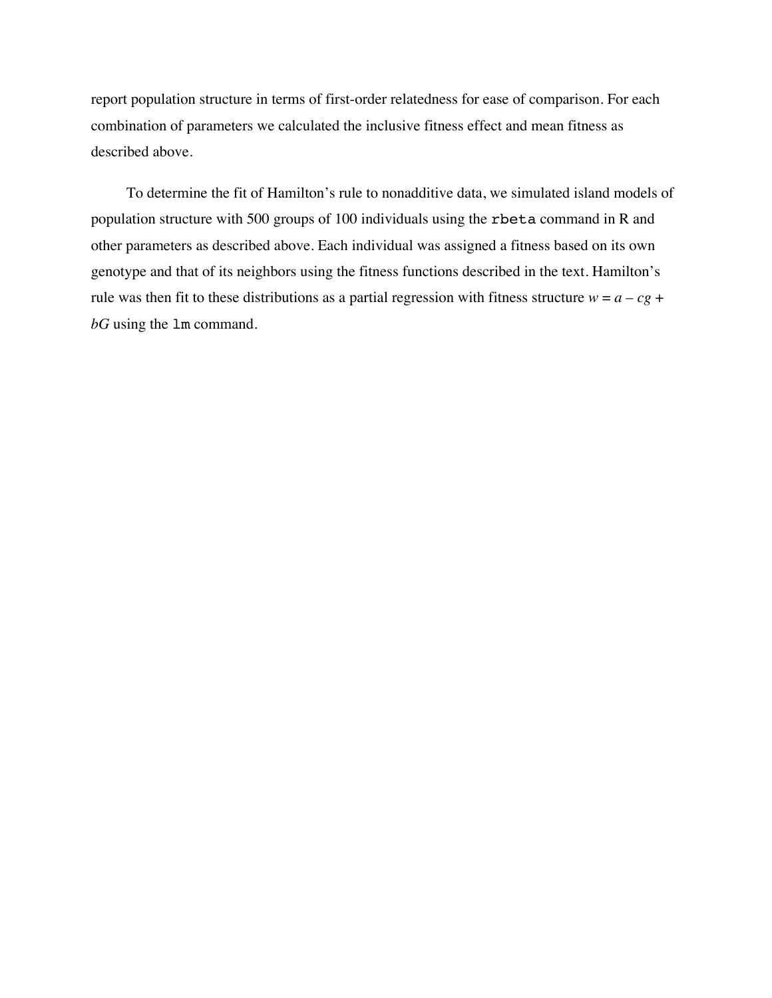report population structure in terms of first-order relatedness for ease of comparison. For each combination of parameters we calculated the inclusive fitness effect and mean fitness as described above.

To determine the fit of Hamilton's rule to nonadditive data, we simulated island models of population structure with 500 groups of 100 individuals using the rbeta command in R and other parameters as described above. Each individual was assigned a fitness based on its own genotype and that of its neighbors using the fitness functions described in the text. Hamilton's rule was then fit to these distributions as a partial regression with fitness structure  $w = a - cg +$ *bG* using the lm command.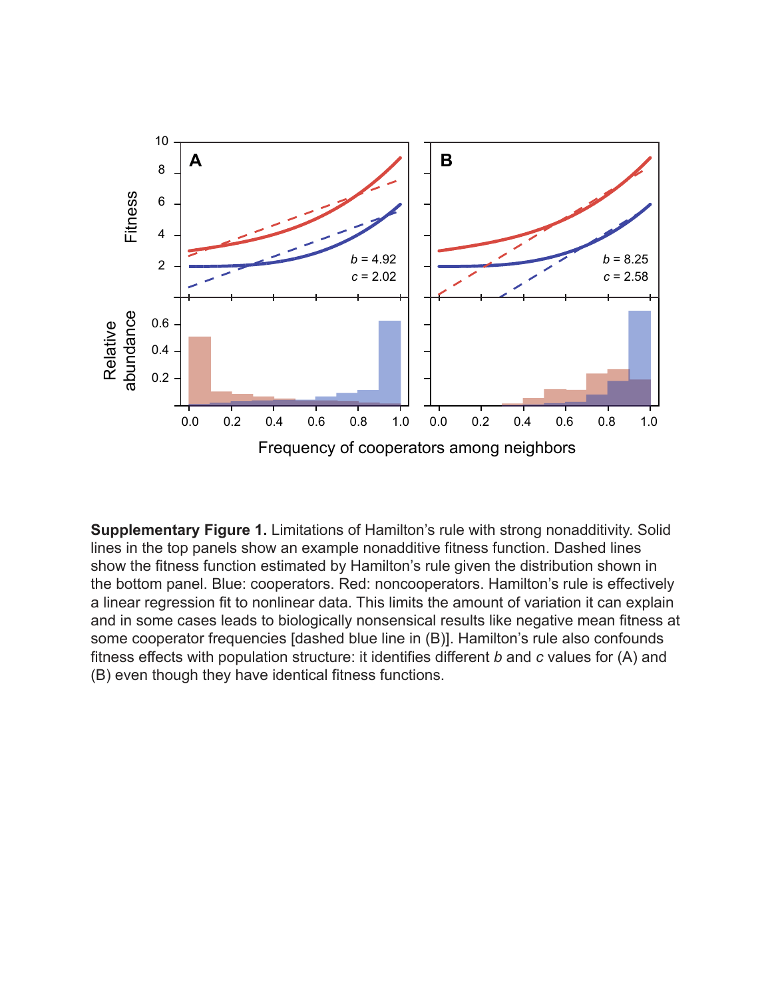

**Supplementary Figure 1.** Limitations of Hamilton's rule with strong nonadditivity. Solid lines in the top panels show an example nonadditive fitness function. Dashed lines show the fitness function estimated by Hamilton's rule given the distribution shown in the bottom panel. Blue: cooperators. Red: noncooperators. Hamilton's rule is effectively a linear regression fit to nonlinear data. This limits the amount of variation it can explain and in some cases leads to biologically nonsensical results like negative mean fitness at some cooperator frequencies [dashed blue line in (B)]. Hamilton's rule also confounds fitness effects with population structure: it identifies different *b* and *c* values for (A) and (B) even though they have identical fitness functions.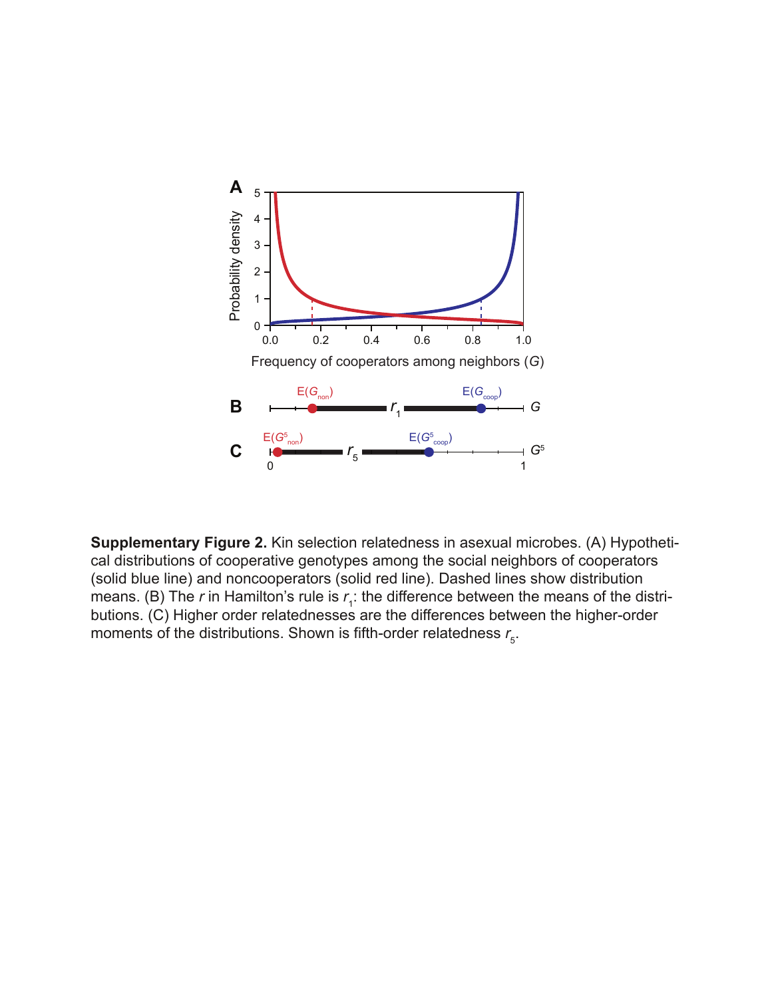

**Supplementary Figure 2.** Kin selection relatedness in asexual microbes. (A) Hypothetical distributions of cooperative genotypes among the social neighbors of cooperators (solid blue line) and noncooperators (solid red line). Dashed lines show distribution means. (B) The *r* in Hamilton's rule is  $r_{\scriptscriptstyle\!+}$ : the difference between the means of the distributions. (C) Higher order relatednesses are the differences between the higher-order moments of the distributions. Shown is fifth-order relatedness  $r_{\rm s}$ .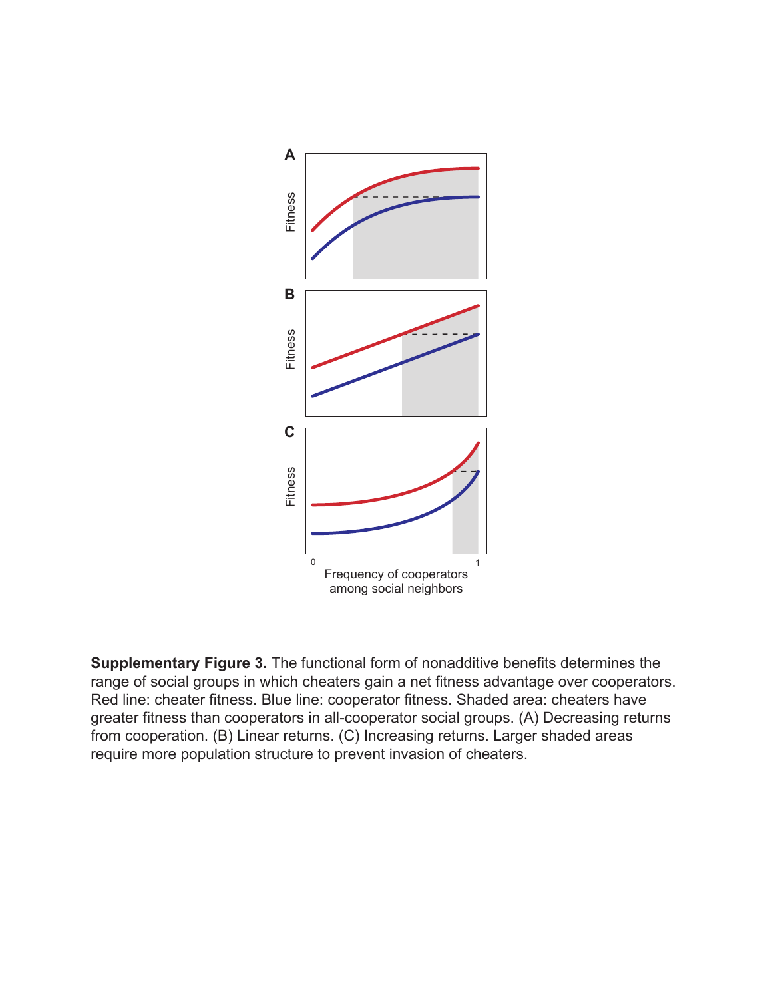

**Supplementary Figure 3.** The functional form of nonadditive benefits determines the range of social groups in which cheaters gain a net fitness advantage over cooperators. Red line: cheater fitness. Blue line: cooperator fitness. Shaded area: cheaters have greater fitness than cooperators in all-cooperator social groups. (A) Decreasing returns from cooperation. (B) Linear returns. (C) Increasing returns. Larger shaded areas require more population structure to prevent invasion of cheaters.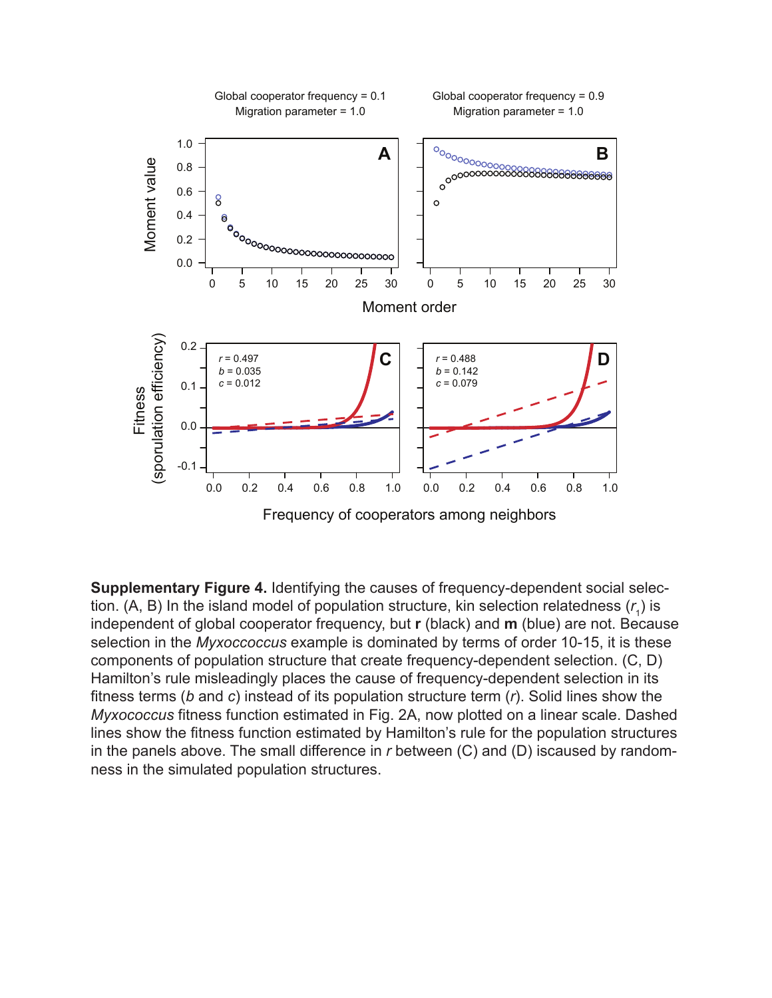

**Supplementary Figure 4.** Identifying the causes of frequency-dependent social selection. (A, B) In the island model of population structure, kin selection relatedness  $(r_{_1})$  is independent of global cooperator frequency, but **r** (black) and **m** (blue) are not. Because selection in the *Myxoccoccus* example is dominated by terms of order 10-15, it is these components of population structure that create frequency-dependent selection. (C, D) Hamilton's rule misleadingly places the cause of frequency-dependent selection in its fitness terms (*b* and *c*) instead of its population structure term (*r*). Solid lines show the *Myxococcus* fitness function estimated in Fig. 2A, now plotted on a linear scale. Dashed lines show the fitness function estimated by Hamilton's rule for the population structures in the panels above. The small difference in *r* between (C) and (D) iscaused by randomness in the simulated population structures.